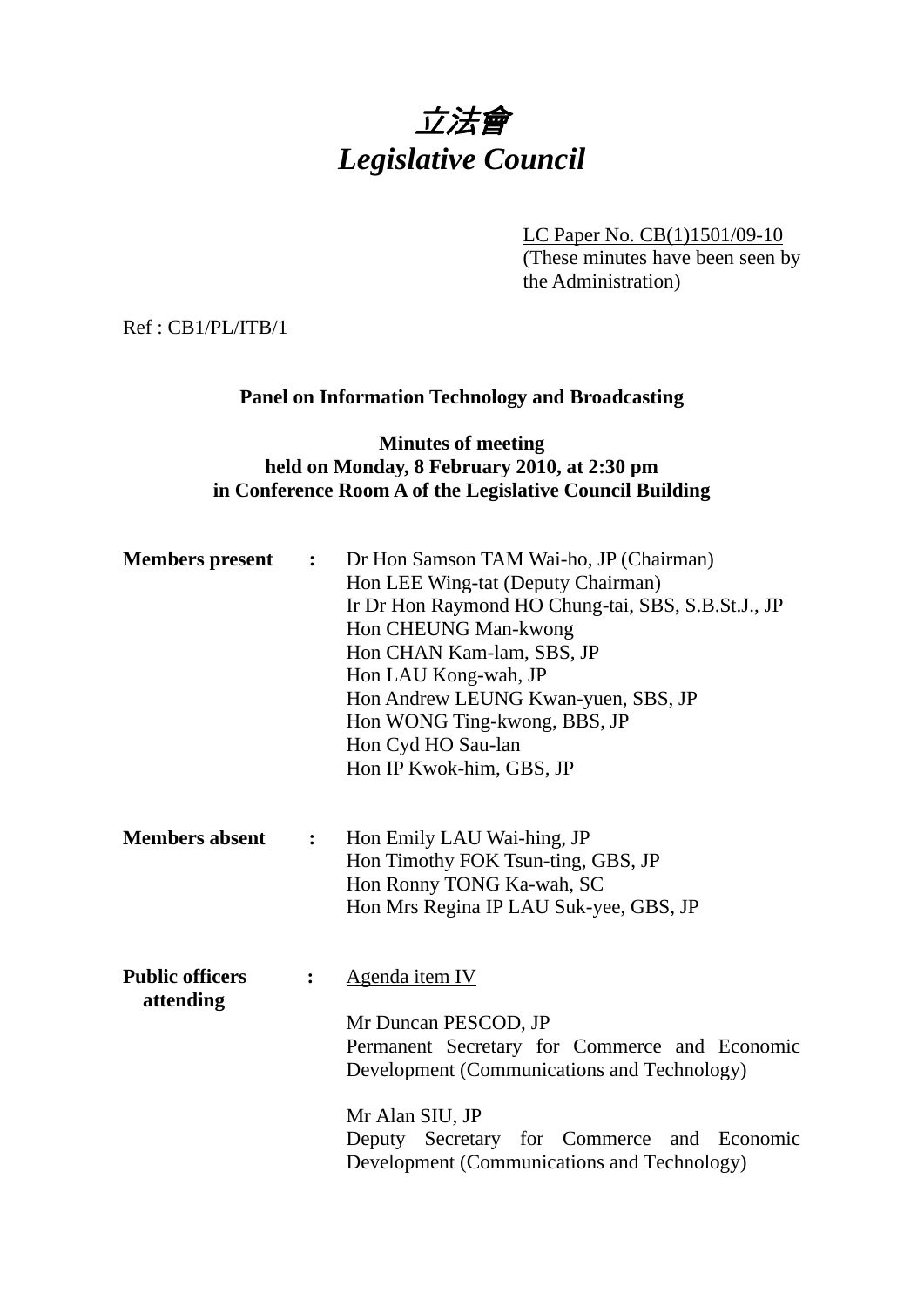

LC Paper No. CB(1)1501/09-10 (These minutes have been seen by the Administration)

Ref : CB1/PL/ITB/1

## **Panel on Information Technology and Broadcasting**

## **Minutes of meeting held on Monday, 8 February 2010, at 2:30 pm in Conference Room A of the Legislative Council Building**

| <b>Members</b> present              | $\ddot{\bullet}$ | Dr Hon Samson TAM Wai-ho, JP (Chairman)<br>Hon LEE Wing-tat (Deputy Chairman)<br>Ir Dr Hon Raymond HO Chung-tai, SBS, S.B.St.J., JP<br>Hon CHEUNG Man-kwong<br>Hon CHAN Kam-lam, SBS, JP<br>Hon LAU Kong-wah, JP<br>Hon Andrew LEUNG Kwan-yuen, SBS, JP<br>Hon WONG Ting-kwong, BBS, JP<br>Hon Cyd HO Sau-lan<br>Hon IP Kwok-him, GBS, JP |  |  |  |  |  |
|-------------------------------------|------------------|-------------------------------------------------------------------------------------------------------------------------------------------------------------------------------------------------------------------------------------------------------------------------------------------------------------------------------------------|--|--|--|--|--|
| <b>Members absent</b>               | $\ddot{\cdot}$   | Hon Emily LAU Wai-hing, JP<br>Hon Timothy FOK Tsun-ting, GBS, JP<br>Hon Ronny TONG Ka-wah, SC<br>Hon Mrs Regina IP LAU Suk-yee, GBS, JP                                                                                                                                                                                                   |  |  |  |  |  |
| <b>Public officers</b><br>attending |                  | Agenda item IV<br>Mr Duncan PESCOD, JP<br>Permanent Secretary for Commerce and Economic<br>Development (Communications and Technology)<br>Mr Alan SIU, JP<br>Deputy Secretary for Commerce and Economic<br>Development (Communications and Technology)                                                                                    |  |  |  |  |  |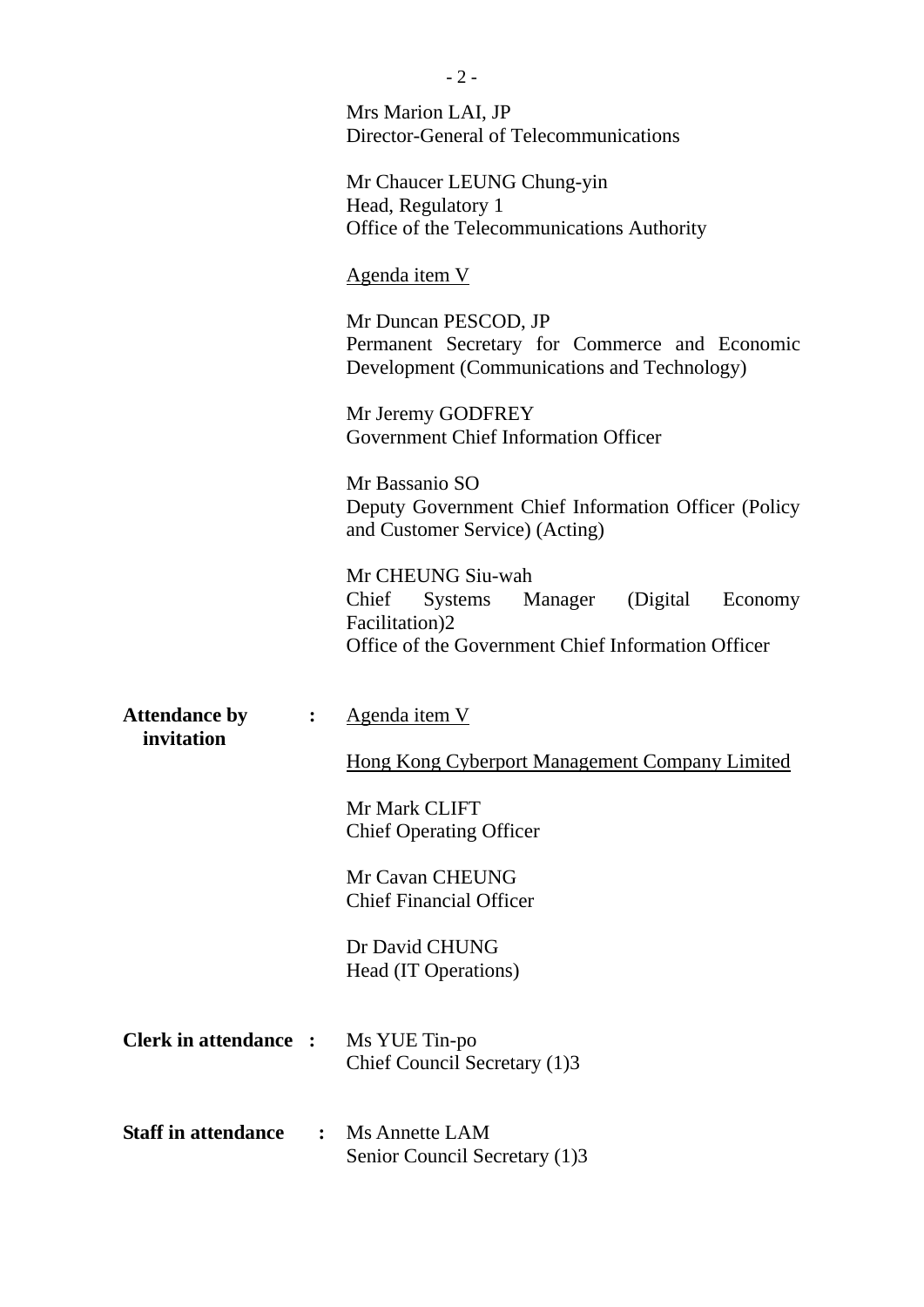|                                    |                | $-2-$                                                                                                                                  |  |  |  |  |
|------------------------------------|----------------|----------------------------------------------------------------------------------------------------------------------------------------|--|--|--|--|
|                                    |                | Mrs Marion LAI, JP<br>Director-General of Telecommunications                                                                           |  |  |  |  |
|                                    |                | Mr Chaucer LEUNG Chung-yin<br>Head, Regulatory 1<br>Office of the Telecommunications Authority                                         |  |  |  |  |
|                                    |                | <u>Agenda item V</u>                                                                                                                   |  |  |  |  |
|                                    |                | Mr Duncan PESCOD, JP<br>Permanent Secretary for Commerce and Economic<br>Development (Communications and Technology)                   |  |  |  |  |
|                                    |                | Mr Jeremy GODFREY<br><b>Government Chief Information Officer</b>                                                                       |  |  |  |  |
|                                    |                | Mr Bassanio SO<br>Deputy Government Chief Information Officer (Policy<br>and Customer Service) (Acting)                                |  |  |  |  |
|                                    |                | Mr CHEUNG Siu-wah<br>Systems Manager (Digital Economy<br>Chief<br>Facilitation)2<br>Office of the Government Chief Information Officer |  |  |  |  |
| <b>Attendance by</b><br>invitation | $\ddot{\cdot}$ | <u>Agenda item V</u>                                                                                                                   |  |  |  |  |
|                                    |                | Hong Kong Cyberport Management Company Limited                                                                                         |  |  |  |  |
|                                    |                | Mr Mark CLIFT<br><b>Chief Operating Officer</b>                                                                                        |  |  |  |  |
|                                    |                | Mr Cavan CHEUNG<br><b>Chief Financial Officer</b>                                                                                      |  |  |  |  |
|                                    |                | Dr David CHUNG<br>Head (IT Operations)                                                                                                 |  |  |  |  |
| <b>Clerk in attendance :</b>       |                | Ms YUE Tin-po<br>Chief Council Secretary (1)3                                                                                          |  |  |  |  |
| <b>Staff in attendance</b>         | $\ddot{\cdot}$ | Ms Annette LAM<br>Senior Council Secretary (1)3                                                                                        |  |  |  |  |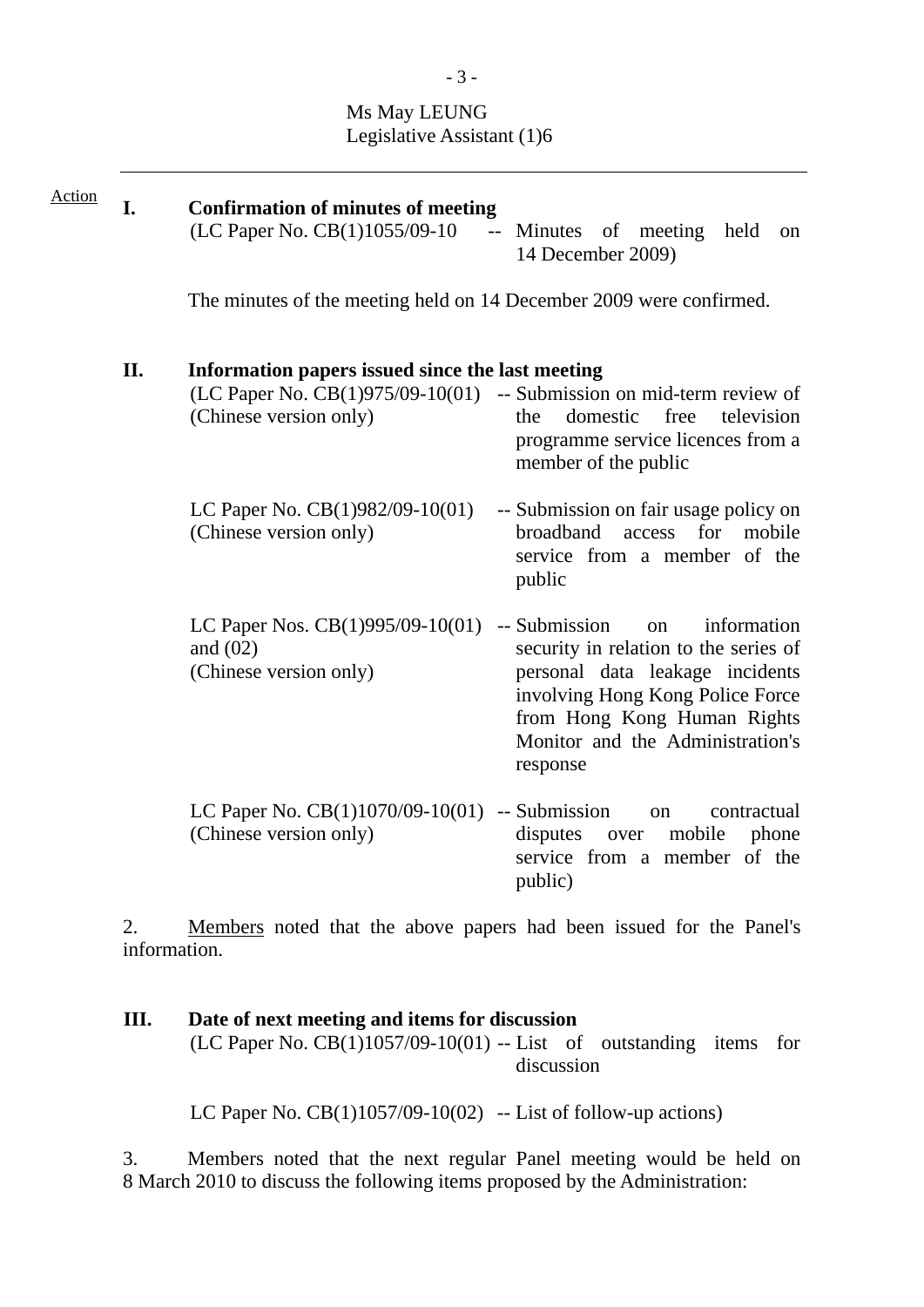# Ms May LEUNG Legislative Assistant (1)6

| <b>Action</b> | I. | <b>Confirmation of minutes of meeting</b><br>$(LC$ Paper No. $CB(1)1055/09-10$ -- Minutes of meeting<br>held<br><sub>on</sub><br>14 December 2009)                                                                                                                                                              |  |  |  |  |  |  |  |  |  |  |
|---------------|----|-----------------------------------------------------------------------------------------------------------------------------------------------------------------------------------------------------------------------------------------------------------------------------------------------------------------|--|--|--|--|--|--|--|--|--|--|
|               |    | The minutes of the meeting held on 14 December 2009 were confirmed.                                                                                                                                                                                                                                             |  |  |  |  |  |  |  |  |  |  |
| II.           |    | Information papers issued since the last meeting<br>$(LC$ Paper No. $CB(1)975/09-10(01)$ -- Submission on mid-term review of<br>(Chinese version only)<br>the<br>domestic<br>free<br>television<br>programme service licences from a<br>member of the public                                                    |  |  |  |  |  |  |  |  |  |  |
|               |    | LC Paper No. $CB(1)982/09-10(01)$<br>-- Submission on fair usage policy on<br>broadband<br>(Chinese version only)<br>for<br>mobile<br>access<br>service from a member of the<br>public                                                                                                                          |  |  |  |  |  |  |  |  |  |  |
|               |    | LC Paper Nos. $CB(1)995/09-10(01)$<br>-- Submission<br>information<br>on<br>and $(02)$<br>security in relation to the series of<br>(Chinese version only)<br>personal data leakage incidents<br>involving Hong Kong Police Force<br>from Hong Kong Human Rights<br>Monitor and the Administration's<br>response |  |  |  |  |  |  |  |  |  |  |
|               |    | LC Paper No. $CB(1)1070/09-10(01)$<br>-- Submission<br>contractual<br>on<br>(Chinese version only)<br>mobile<br>disputes<br>phone<br>over<br>service from a member of the<br>public)                                                                                                                            |  |  |  |  |  |  |  |  |  |  |

2. Members noted that the above papers had been issued for the Panel's information.

## **III. Date of next meeting and items for discussion** (LC Paper No.  $CB(1)1057/09-10(01)$  -- List of outstanding items for discussion

LC Paper No.  $CB(1)1057/09-10(02)$  -- List of follow-up actions)

3. Members noted that the next regular Panel meeting would be held on 8 March 2010 to discuss the following items proposed by the Administration: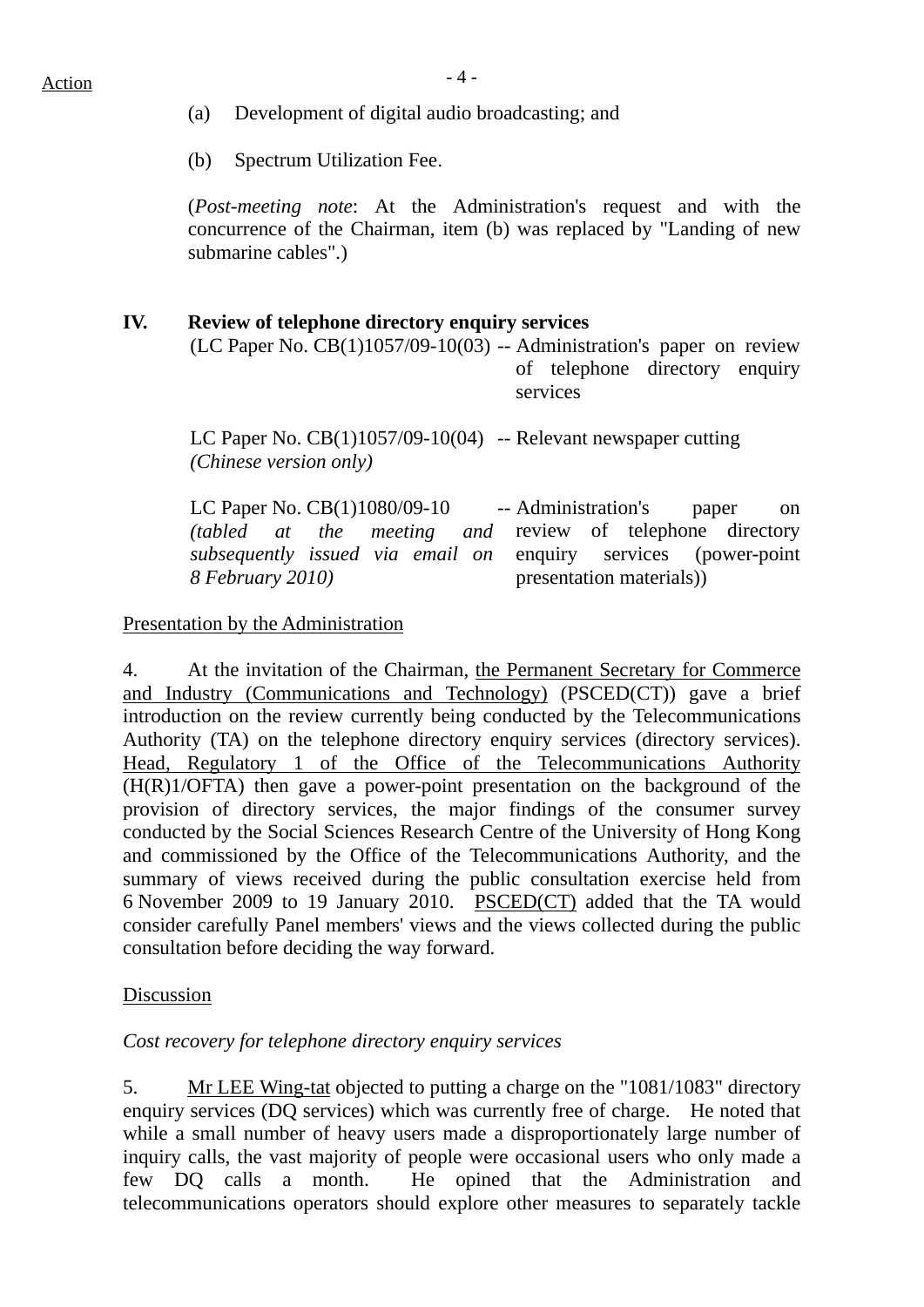- (a) Development of digital audio broadcasting; and
- (b) Spectrum Utilization Fee.

(*Post-meeting note*: At the Administration's request and with the concurrence of the Chairman, item (b) was replaced by "Landing of new submarine cables".)

## **IV. Review of telephone directory enquiry services**

 $(LC$  Paper No.  $CB(1)1057/09-10(03)$  -- Administration's paper on review of telephone directory enquiry services

LC Paper No. CB(1)1057/09-10(04) -- Relevant newspaper cutting *(Chinese version only)* 

LC Paper No. CB(1)1080/09-10 *(tabled at the meeting and subsequently issued via email on 8 February 2010)*  -- Administration's paper on review of telephone directory enquiry services (power-point presentation materials))

## Presentation by the Administration

4. At the invitation of the Chairman, the Permanent Secretary for Commerce and Industry (Communications and Technology) (PSCED(CT)) gave a brief introduction on the review currently being conducted by the Telecommunications Authority (TA) on the telephone directory enquiry services (directory services). Head, Regulatory 1 of the Office of the Telecommunications Authority (H(R)1/OFTA) then gave a power-point presentation on the background of the provision of directory services, the major findings of the consumer survey conducted by the Social Sciences Research Centre of the University of Hong Kong and commissioned by the Office of the Telecommunications Authority, and the summary of views received during the public consultation exercise held from 6 November 2009 to 19 January 2010. PSCED(CT) added that the TA would consider carefully Panel members' views and the views collected during the public consultation before deciding the way forward.

## Discussion

## *Cost recovery for telephone directory enquiry services*

5. Mr LEE Wing-tat objected to putting a charge on the "1081/1083" directory enquiry services (DQ services) which was currently free of charge. He noted that while a small number of heavy users made a disproportionately large number of inquiry calls, the vast majority of people were occasional users who only made a few DQ calls a month. He opined that the Administration and telecommunications operators should explore other measures to separately tackle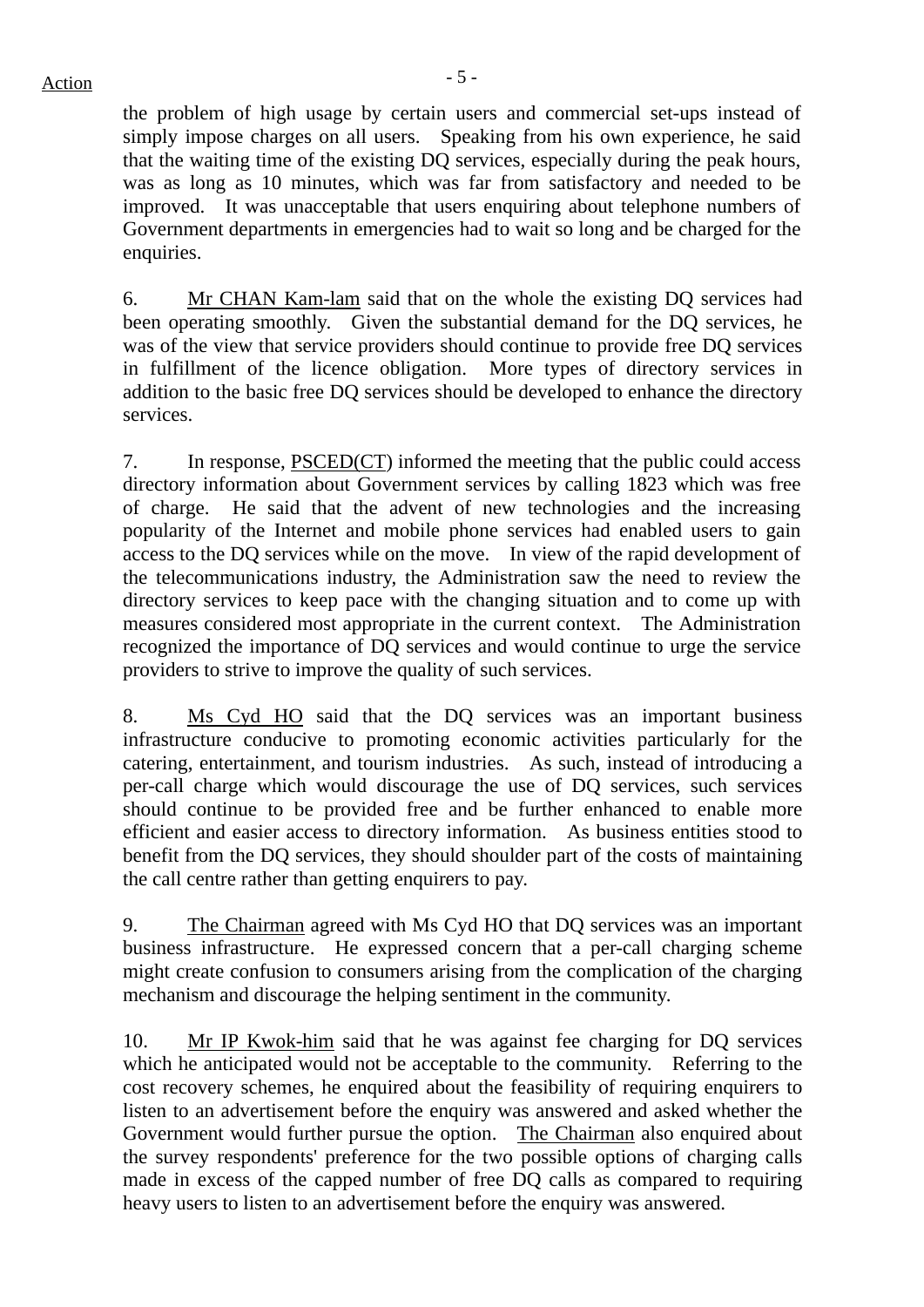the problem of high usage by certain users and commercial set-ups instead of simply impose charges on all users. Speaking from his own experience, he said that the waiting time of the existing DQ services, especially during the peak hours, was as long as 10 minutes, which was far from satisfactory and needed to be improved. It was unacceptable that users enquiring about telephone numbers of Government departments in emergencies had to wait so long and be charged for the enquiries.

6. Mr CHAN Kam-lam said that on the whole the existing DQ services had been operating smoothly. Given the substantial demand for the DQ services, he was of the view that service providers should continue to provide free DQ services in fulfillment of the licence obligation. More types of directory services in addition to the basic free DQ services should be developed to enhance the directory services.

7. In response, PSCED(CT) informed the meeting that the public could access directory information about Government services by calling 1823 which was free of charge. He said that the advent of new technologies and the increasing popularity of the Internet and mobile phone services had enabled users to gain access to the DQ services while on the move. In view of the rapid development of the telecommunications industry, the Administration saw the need to review the directory services to keep pace with the changing situation and to come up with measures considered most appropriate in the current context. The Administration recognized the importance of DQ services and would continue to urge the service providers to strive to improve the quality of such services.

8. Ms Cyd HO said that the DQ services was an important business infrastructure conducive to promoting economic activities particularly for the catering, entertainment, and tourism industries. As such, instead of introducing a per-call charge which would discourage the use of DQ services, such services should continue to be provided free and be further enhanced to enable more efficient and easier access to directory information. As business entities stood to benefit from the DQ services, they should shoulder part of the costs of maintaining the call centre rather than getting enquirers to pay.

9. The Chairman agreed with Ms Cyd HO that DQ services was an important business infrastructure. He expressed concern that a per-call charging scheme might create confusion to consumers arising from the complication of the charging mechanism and discourage the helping sentiment in the community.

10. Mr IP Kwok-him said that he was against fee charging for DQ services which he anticipated would not be acceptable to the community. Referring to the cost recovery schemes, he enquired about the feasibility of requiring enquirers to listen to an advertisement before the enquiry was answered and asked whether the Government would further pursue the option. The Chairman also enquired about the survey respondents' preference for the two possible options of charging calls made in excess of the capped number of free DQ calls as compared to requiring heavy users to listen to an advertisement before the enquiry was answered.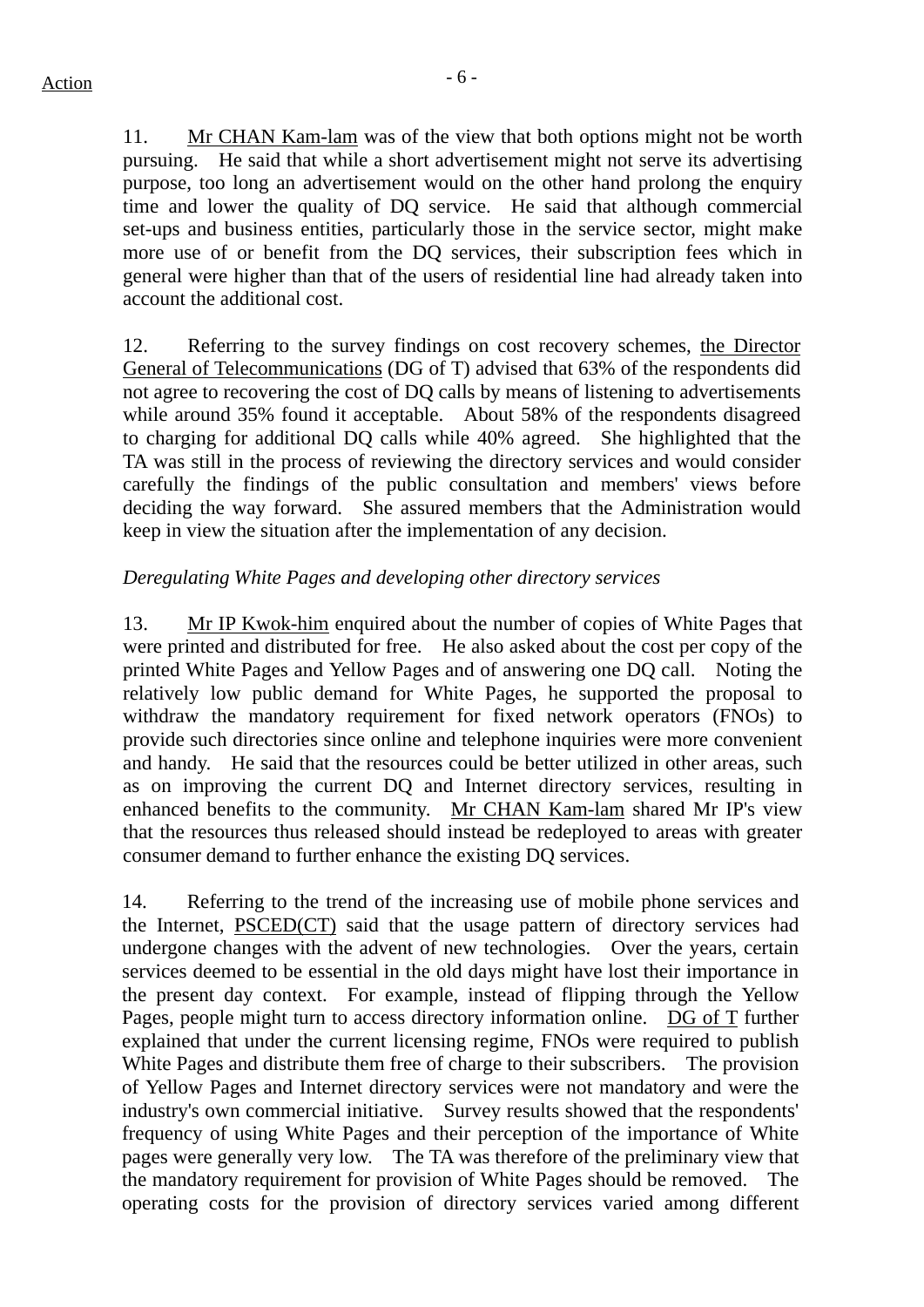11. Mr CHAN Kam-lam was of the view that both options might not be worth pursuing. He said that while a short advertisement might not serve its advertising purpose, too long an advertisement would on the other hand prolong the enquiry time and lower the quality of DQ service. He said that although commercial set-ups and business entities, particularly those in the service sector, might make more use of or benefit from the DQ services, their subscription fees which in general were higher than that of the users of residential line had already taken into account the additional cost.

12. Referring to the survey findings on cost recovery schemes, the Director General of Telecommunications (DG of T) advised that 63% of the respondents did not agree to recovering the cost of DQ calls by means of listening to advertisements while around 35% found it acceptable. About 58% of the respondents disagreed to charging for additional DQ calls while 40% agreed. She highlighted that the TA was still in the process of reviewing the directory services and would consider carefully the findings of the public consultation and members' views before deciding the way forward. She assured members that the Administration would keep in view the situation after the implementation of any decision.

#### *Deregulating White Pages and developing other directory services*

13. Mr IP Kwok-him enquired about the number of copies of White Pages that were printed and distributed for free. He also asked about the cost per copy of the printed White Pages and Yellow Pages and of answering one DQ call. Noting the relatively low public demand for White Pages, he supported the proposal to withdraw the mandatory requirement for fixed network operators (FNOs) to provide such directories since online and telephone inquiries were more convenient and handy. He said that the resources could be better utilized in other areas, such as on improving the current DQ and Internet directory services, resulting in enhanced benefits to the community. Mr CHAN Kam-lam shared Mr IP's view that the resources thus released should instead be redeployed to areas with greater consumer demand to further enhance the existing DQ services.

14. Referring to the trend of the increasing use of mobile phone services and the Internet, PSCED(CT) said that the usage pattern of directory services had undergone changes with the advent of new technologies. Over the years, certain services deemed to be essential in the old days might have lost their importance in the present day context. For example, instead of flipping through the Yellow Pages, people might turn to access directory information online. DG of T further explained that under the current licensing regime, FNOs were required to publish White Pages and distribute them free of charge to their subscribers. The provision of Yellow Pages and Internet directory services were not mandatory and were the industry's own commercial initiative. Survey results showed that the respondents' frequency of using White Pages and their perception of the importance of White pages were generally very low. The TA was therefore of the preliminary view that the mandatory requirement for provision of White Pages should be removed. The operating costs for the provision of directory services varied among different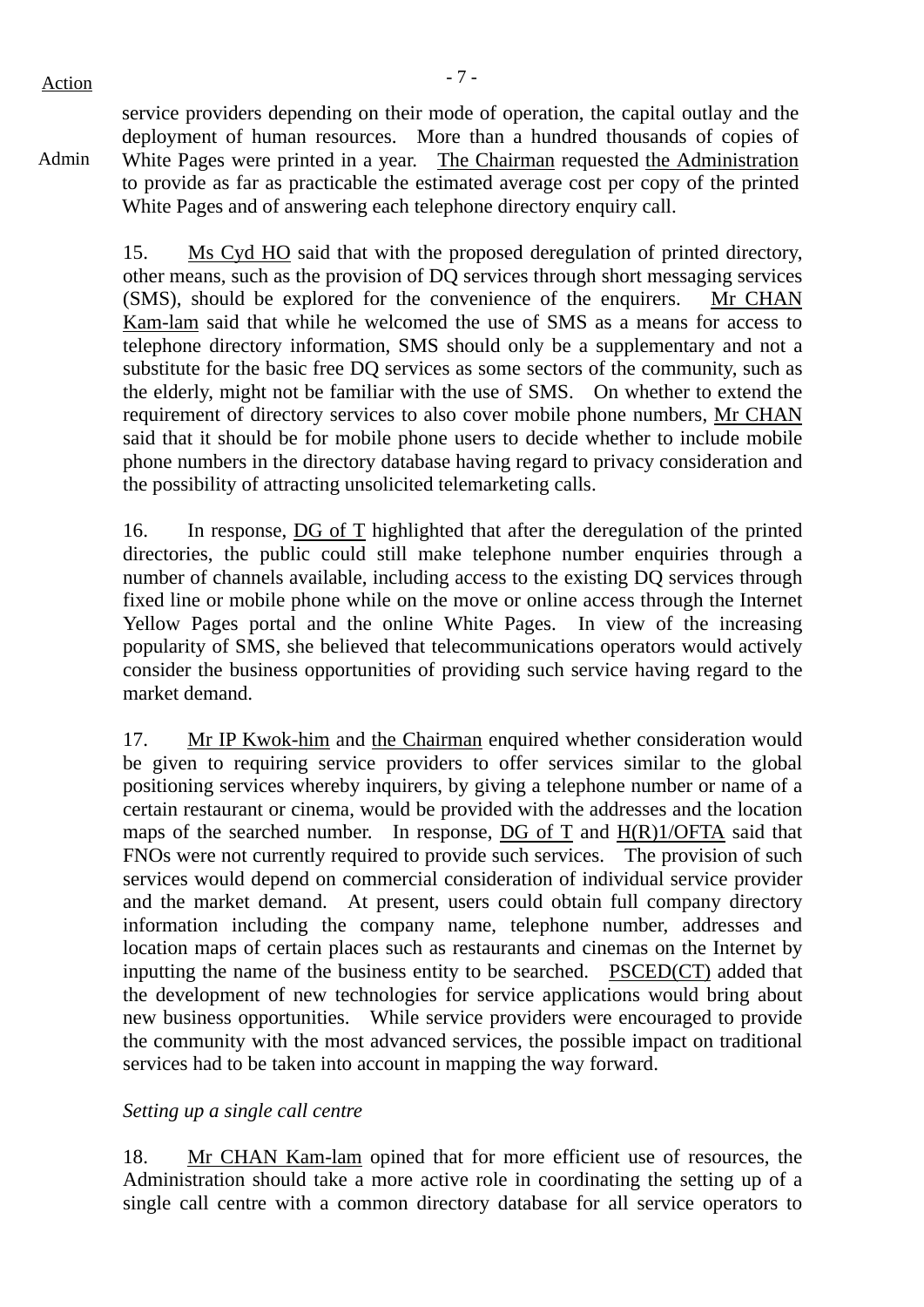Admin

service providers depending on their mode of operation, the capital outlay and the deployment of human resources. More than a hundred thousands of copies of White Pages were printed in a year. The Chairman requested the Administration to provide as far as practicable the estimated average cost per copy of the printed White Pages and of answering each telephone directory enquiry call.

15. Ms Cyd HO said that with the proposed deregulation of printed directory, other means, such as the provision of DQ services through short messaging services (SMS), should be explored for the convenience of the enquirers. Mr CHAN Kam-lam said that while he welcomed the use of SMS as a means for access to telephone directory information, SMS should only be a supplementary and not a substitute for the basic free DQ services as some sectors of the community, such as the elderly, might not be familiar with the use of SMS. On whether to extend the requirement of directory services to also cover mobile phone numbers, Mr CHAN said that it should be for mobile phone users to decide whether to include mobile phone numbers in the directory database having regard to privacy consideration and the possibility of attracting unsolicited telemarketing calls.

16. In response, DG of T highlighted that after the deregulation of the printed directories, the public could still make telephone number enquiries through a number of channels available, including access to the existing DQ services through fixed line or mobile phone while on the move or online access through the Internet Yellow Pages portal and the online White Pages. In view of the increasing popularity of SMS, she believed that telecommunications operators would actively consider the business opportunities of providing such service having regard to the market demand.

17. Mr IP Kwok-him and the Chairman enquired whether consideration would be given to requiring service providers to offer services similar to the global positioning services whereby inquirers, by giving a telephone number or name of a certain restaurant or cinema, would be provided with the addresses and the location maps of the searched number. In response, DG of T and  $H(R)1/OFTA$  said that FNOs were not currently required to provide such services. The provision of such services would depend on commercial consideration of individual service provider and the market demand. At present, users could obtain full company directory information including the company name, telephone number, addresses and location maps of certain places such as restaurants and cinemas on the Internet by inputting the name of the business entity to be searched. PSCED(CT) added that the development of new technologies for service applications would bring about new business opportunities. While service providers were encouraged to provide the community with the most advanced services, the possible impact on traditional services had to be taken into account in mapping the way forward.

## *Setting up a single call centre*

18. Mr CHAN Kam-lam opined that for more efficient use of resources, the Administration should take a more active role in coordinating the setting up of a single call centre with a common directory database for all service operators to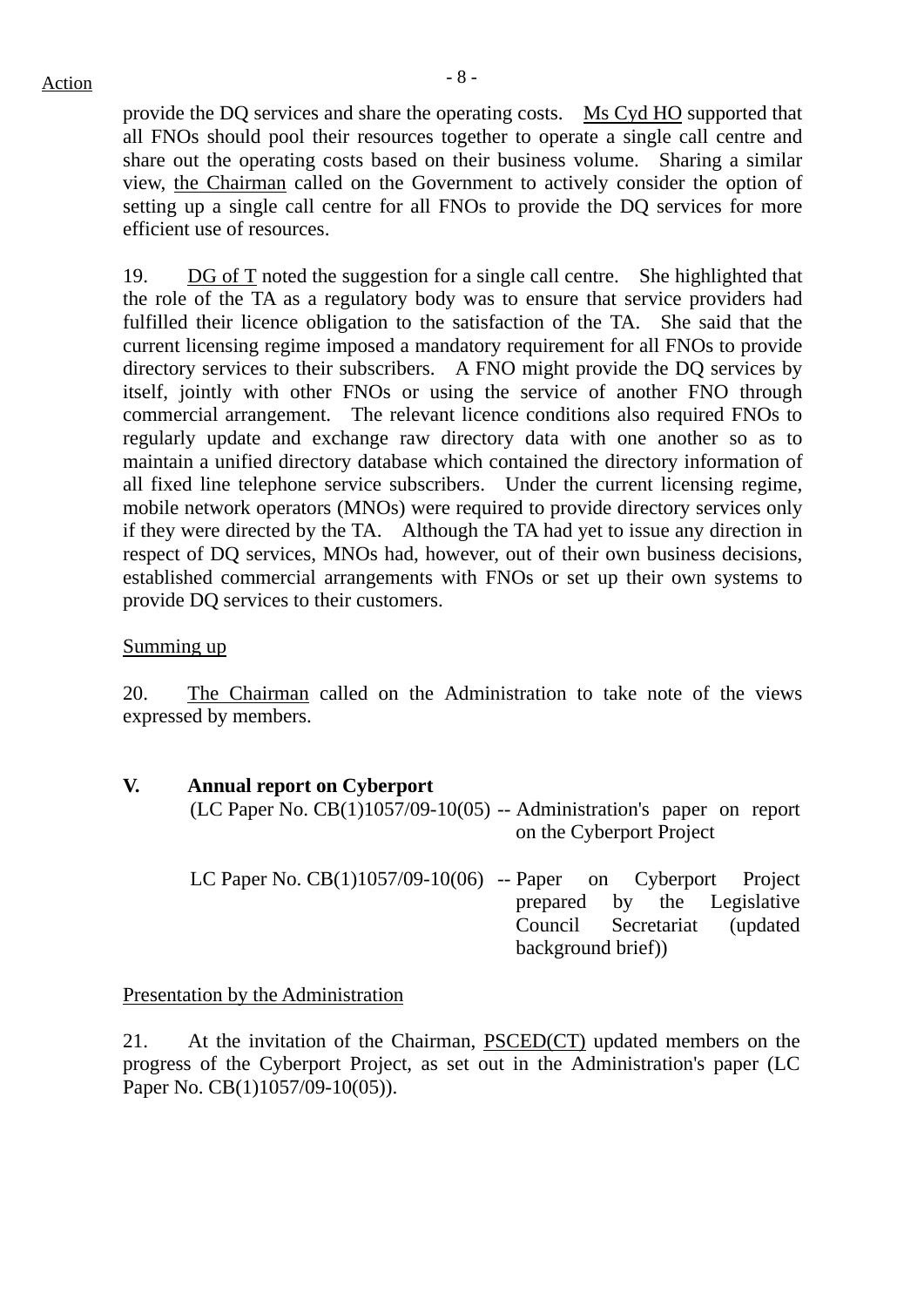provide the DQ services and share the operating costs. Ms Cyd HO supported that all FNOs should pool their resources together to operate a single call centre and share out the operating costs based on their business volume. Sharing a similar view, the Chairman called on the Government to actively consider the option of setting up a single call centre for all FNOs to provide the DQ services for more efficient use of resources.

19. DG of T noted the suggestion for a single call centre. She highlighted that the role of the TA as a regulatory body was to ensure that service providers had fulfilled their licence obligation to the satisfaction of the TA. She said that the current licensing regime imposed a mandatory requirement for all FNOs to provide directory services to their subscribers. A FNO might provide the DQ services by itself, jointly with other FNOs or using the service of another FNO through commercial arrangement. The relevant licence conditions also required FNOs to regularly update and exchange raw directory data with one another so as to maintain a unified directory database which contained the directory information of all fixed line telephone service subscribers. Under the current licensing regime, mobile network operators (MNOs) were required to provide directory services only if they were directed by the TA. Although the TA had yet to issue any direction in respect of DQ services, MNOs had, however, out of their own business decisions, established commercial arrangements with FNOs or set up their own systems to provide DQ services to their customers.

### Summing up

20. The Chairman called on the Administration to take note of the views expressed by members.

## **V. Annual report on Cyberport**

(LC Paper No. CB(1)1057/09-10(05) -- Administration's paper on report on the Cyberport Project

| LC Paper No. CB(1)1057/09-10(06) -- Paper on Cyberport Project |                   |  |                              |
|----------------------------------------------------------------|-------------------|--|------------------------------|
|                                                                |                   |  | prepared by the Legislative  |
|                                                                |                   |  | Council Secretariat (updated |
|                                                                | background brief) |  |                              |

## Presentation by the Administration

21. At the invitation of the Chairman, PSCED(CT) updated members on the progress of the Cyberport Project, as set out in the Administration's paper (LC Paper No. CB(1)1057/09-10(05)).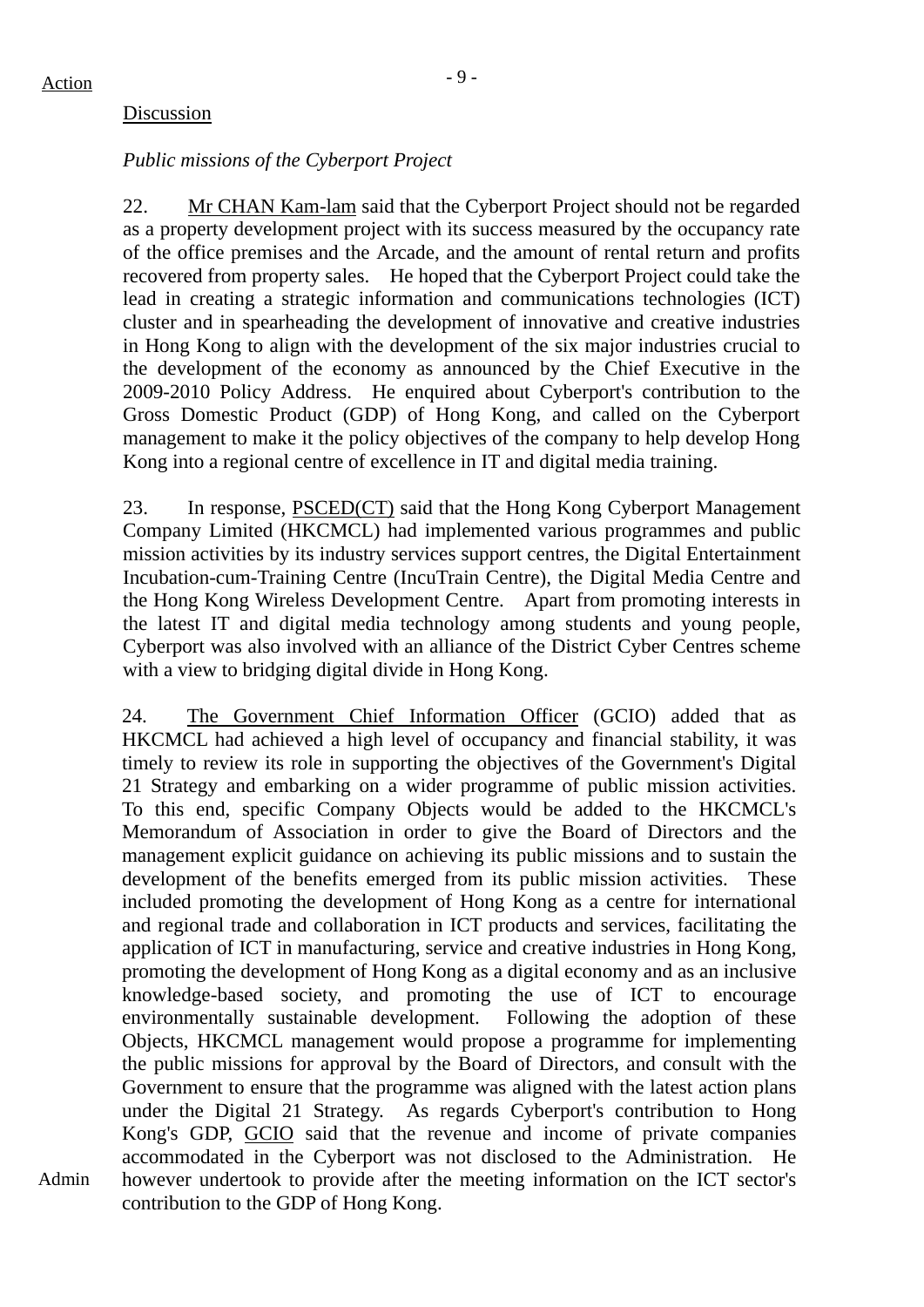Admin

## Discussion

## *Public missions of the Cyberport Project*

22. Mr CHAN Kam-lam said that the Cyberport Project should not be regarded as a property development project with its success measured by the occupancy rate of the office premises and the Arcade, and the amount of rental return and profits recovered from property sales. He hoped that the Cyberport Project could take the lead in creating a strategic information and communications technologies (ICT) cluster and in spearheading the development of innovative and creative industries in Hong Kong to align with the development of the six major industries crucial to the development of the economy as announced by the Chief Executive in the 2009-2010 Policy Address. He enquired about Cyberport's contribution to the Gross Domestic Product (GDP) of Hong Kong, and called on the Cyberport management to make it the policy objectives of the company to help develop Hong Kong into a regional centre of excellence in IT and digital media training.

23. In response, PSCED(CT) said that the Hong Kong Cyberport Management Company Limited (HKCMCL) had implemented various programmes and public mission activities by its industry services support centres, the Digital Entertainment Incubation-cum-Training Centre (IncuTrain Centre), the Digital Media Centre and the Hong Kong Wireless Development Centre. Apart from promoting interests in the latest IT and digital media technology among students and young people, Cyberport was also involved with an alliance of the District Cyber Centres scheme with a view to bridging digital divide in Hong Kong.

24. The Government Chief Information Officer (GCIO) added that as HKCMCL had achieved a high level of occupancy and financial stability, it was timely to review its role in supporting the objectives of the Government's Digital 21 Strategy and embarking on a wider programme of public mission activities. To this end, specific Company Objects would be added to the HKCMCL's Memorandum of Association in order to give the Board of Directors and the management explicit guidance on achieving its public missions and to sustain the development of the benefits emerged from its public mission activities. These included promoting the development of Hong Kong as a centre for international and regional trade and collaboration in ICT products and services, facilitating the application of ICT in manufacturing, service and creative industries in Hong Kong, promoting the development of Hong Kong as a digital economy and as an inclusive knowledge-based society, and promoting the use of ICT to encourage environmentally sustainable development. Following the adoption of these Objects, HKCMCL management would propose a programme for implementing the public missions for approval by the Board of Directors, and consult with the Government to ensure that the programme was aligned with the latest action plans under the Digital 21 Strategy. As regards Cyberport's contribution to Hong Kong's GDP, GCIO said that the revenue and income of private companies accommodated in the Cyberport was not disclosed to the Administration. He however undertook to provide after the meeting information on the ICT sector's contribution to the GDP of Hong Kong.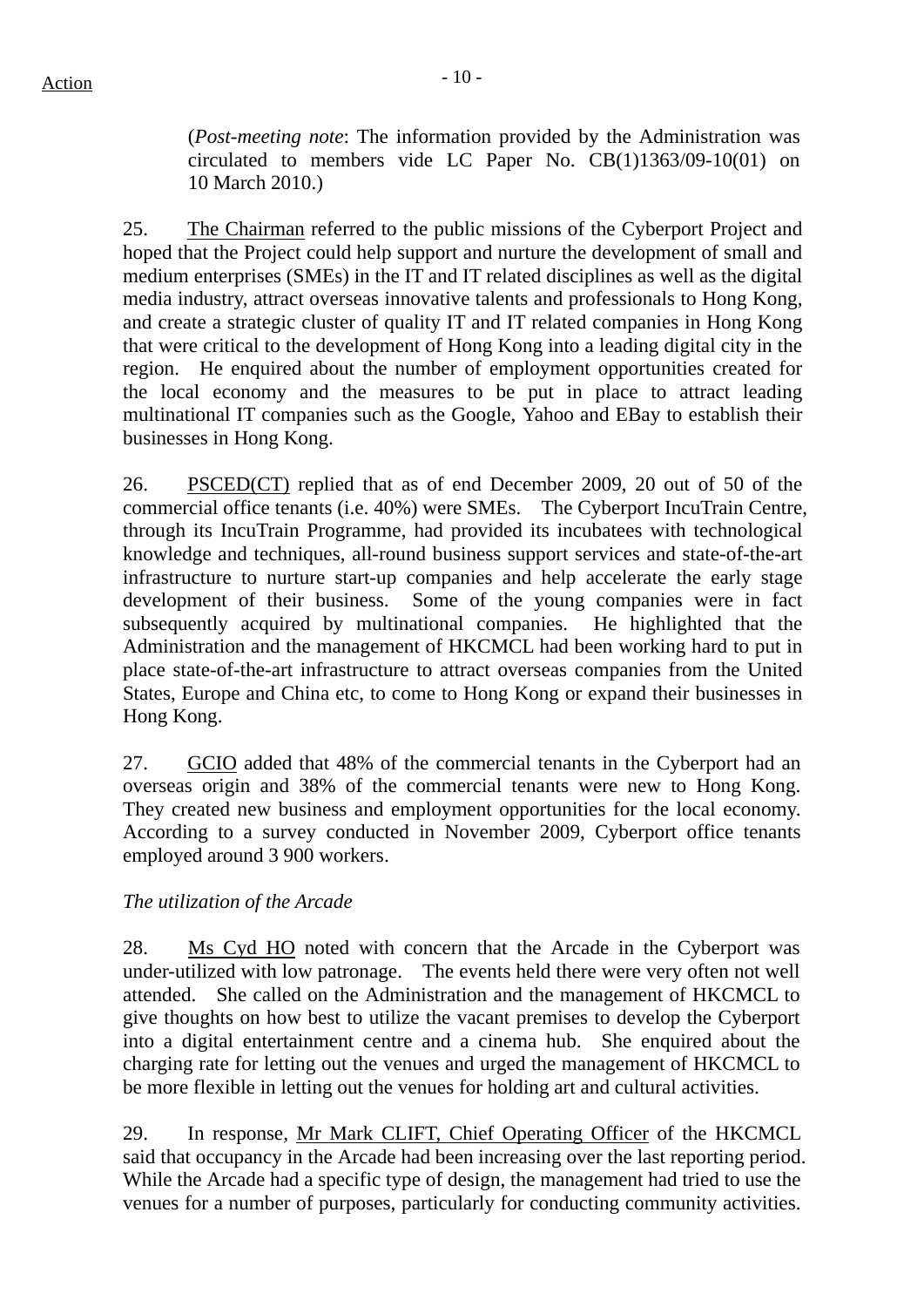(*Post-meeting note*: The information provided by the Administration was circulated to members vide LC Paper No. CB(1)1363/09-10(01) on 10 March 2010.)

25. The Chairman referred to the public missions of the Cyberport Project and hoped that the Project could help support and nurture the development of small and medium enterprises (SMEs) in the IT and IT related disciplines as well as the digital media industry, attract overseas innovative talents and professionals to Hong Kong, and create a strategic cluster of quality IT and IT related companies in Hong Kong that were critical to the development of Hong Kong into a leading digital city in the region. He enquired about the number of employment opportunities created for the local economy and the measures to be put in place to attract leading multinational IT companies such as the Google, Yahoo and EBay to establish their businesses in Hong Kong.

26. PSCED(CT) replied that as of end December 2009, 20 out of 50 of the commercial office tenants (i.e. 40%) were SMEs. The Cyberport IncuTrain Centre, through its IncuTrain Programme, had provided its incubatees with technological knowledge and techniques, all-round business support services and state-of-the-art infrastructure to nurture start-up companies and help accelerate the early stage development of their business. Some of the young companies were in fact subsequently acquired by multinational companies. He highlighted that the Administration and the management of HKCMCL had been working hard to put in place state-of-the-art infrastructure to attract overseas companies from the United States, Europe and China etc, to come to Hong Kong or expand their businesses in Hong Kong.

27. GCIO added that 48% of the commercial tenants in the Cyberport had an overseas origin and 38% of the commercial tenants were new to Hong Kong. They created new business and employment opportunities for the local economy. According to a survey conducted in November 2009, Cyberport office tenants employed around 3 900 workers.

## *The utilization of the Arcade*

28. Ms Cyd HO noted with concern that the Arcade in the Cyberport was under-utilized with low patronage. The events held there were very often not well attended. She called on the Administration and the management of HKCMCL to give thoughts on how best to utilize the vacant premises to develop the Cyberport into a digital entertainment centre and a cinema hub. She enquired about the charging rate for letting out the venues and urged the management of HKCMCL to be more flexible in letting out the venues for holding art and cultural activities.

29. In response, Mr Mark CLIFT, Chief Operating Officer of the HKCMCL said that occupancy in the Arcade had been increasing over the last reporting period. While the Arcade had a specific type of design, the management had tried to use the venues for a number of purposes, particularly for conducting community activities.